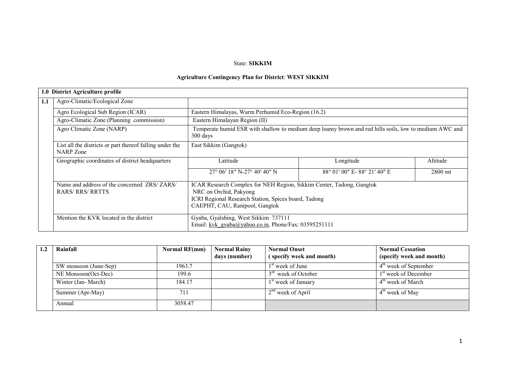# State: SIKKIM

# Agriculture Contingency Plan for District: WEST SIKKIM

|     | 1.0 District Agriculture profile                                       |                                                                                                                                                                                          |                                                                                                        |          |  |  |  |
|-----|------------------------------------------------------------------------|------------------------------------------------------------------------------------------------------------------------------------------------------------------------------------------|--------------------------------------------------------------------------------------------------------|----------|--|--|--|
| 1.1 | Agro-Climatic/Ecological Zone                                          |                                                                                                                                                                                          |                                                                                                        |          |  |  |  |
|     | Agro Ecological Sub Region (ICAR)                                      | Eastern Himalayas, Warm Perhumid Eco-Region (16.2)                                                                                                                                       |                                                                                                        |          |  |  |  |
|     | Agro-Climatic Zone (Planning commission)                               | Eastern Himalayan Region (II)                                                                                                                                                            |                                                                                                        |          |  |  |  |
|     | Agro Climatic Zone (NARP)                                              | $300 \text{ days}$                                                                                                                                                                       | Temperate humid ESR with shallow to medium deep loamy brown and red hills soils, low to medium AWC and |          |  |  |  |
|     | List all the districts or part thereof falling under the<br>NARP Zone  | East Sikkim (Gangtok)                                                                                                                                                                    |                                                                                                        |          |  |  |  |
|     | Geographic coordinates of district headquarters                        | Latitude                                                                                                                                                                                 | Longitude                                                                                              | Altitude |  |  |  |
|     |                                                                        | $27^{\circ}$ 06' 18" N-27 $^{\circ}$ 40' 40" N                                                                                                                                           | 88° 01' 00" E-88° 21' 40" E                                                                            | 2800 mt  |  |  |  |
|     | Name and address of the concerned ZRS/ZARS/<br><b>RARS/ RRS/ RRTTS</b> | ICAR Research Complex for NEH Region, Sikkim Center, Tadong, Gangtok<br>NRC on Orchid, Pakyong<br>ICRI Regional Research Station, Spices board, Tadong<br>CAEPHT, CAU, Ranipool, Gangtok |                                                                                                        |          |  |  |  |
|     | Mention the KVK located in the district                                | Gyaba, Gyalshing, West Sikkim 737111<br>Email: kvk gyaba@yahoo.co.in, Phone/Fax: 03595251111                                                                                             |                                                                                                        |          |  |  |  |

| Rainfall              | Normal RF(mm) | <b>Normal Rainy</b><br>days (number) | <b>Normal Onset</b><br>(specify week and month) | <b>Normal Cessation</b><br>(specify week and month) |
|-----------------------|---------------|--------------------------------------|-------------------------------------------------|-----------------------------------------------------|
| SW monsoon (June-Sep) | 1963.7        |                                      | 1 <sup>st</sup> week of June                    | $4th$ week of September                             |
| NE Monsoon(Oct-Dec)   | 199.6         |                                      | 3 <sup>rd</sup> week of October                 | 1 <sup>st</sup> week of December                    |
| Winter (Jan-March)    | 184.17        |                                      | 1 <sup>st</sup> week of January                 | 4 <sup>th</sup> week of March                       |
| Summer (Apr-May)      | 711           |                                      | $2nd$ week of April                             | $4^{\text{m}}$ week of May                          |
| Annual                | 3058.47       |                                      |                                                 |                                                     |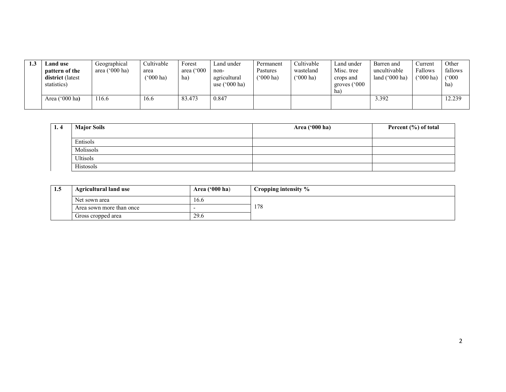| 1.3 | <b>Land</b> use<br>pattern of the<br>district (latest<br>statistics) | Geographical<br>('000 ha)<br>area ( | Cultivable<br>area<br>$^{\prime\prime}000$ ha) | Forest<br>area $(^{\circ}000$<br>ha) | Land under<br>non-<br>agricultural<br>use $(^{\circ}000$ ha) | Permanent<br>Pastures<br>$(^{6}000 \text{ ha})$ | Cultivable<br>wasteland<br>$(^{o}000 \text{ ha})$ | Land under<br>Misc. tree<br>crops and<br>groves $(^{\circ}000$<br>ha | Barren and<br>uncultivable<br>land $('000 ha)$ | Current<br>Fallows<br>(*000 ha) | Other<br>fallows<br>(°000)<br>ha) |
|-----|----------------------------------------------------------------------|-------------------------------------|------------------------------------------------|--------------------------------------|--------------------------------------------------------------|-------------------------------------------------|---------------------------------------------------|----------------------------------------------------------------------|------------------------------------------------|---------------------------------|-----------------------------------|
|     | Area $('000 ha)$                                                     | 16.6                                | 16.6                                           | 83.473                               | 0.847                                                        |                                                 |                                                   |                                                                      | 3.392                                          |                                 | 12.239                            |

| 1.4 | <b>Major Soils</b> | Area ('000 ha) | Percent (%) of total |
|-----|--------------------|----------------|----------------------|
|     |                    |                |                      |
|     | Entisols           |                |                      |
|     | Molissols          |                |                      |
|     | Ultisols           |                |                      |
|     | Histosols          |                |                      |

| -1.5 | Area $('000 ha)$<br><b>Agricultural land use</b> |      | $\blacksquare$ Cropping intensity % |
|------|--------------------------------------------------|------|-------------------------------------|
|      | Net sown area                                    | 16.6 |                                     |
|      | Area sown more than once                         |      | 178                                 |
|      | Gross cropped area                               | 29.6 |                                     |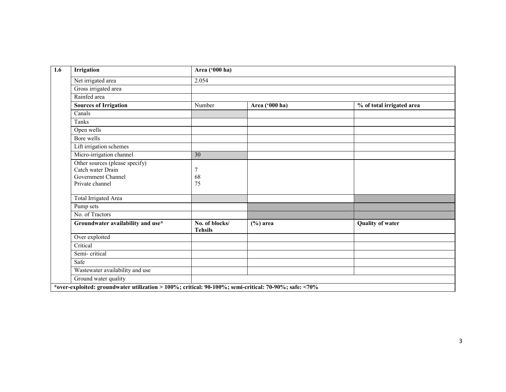| <b>Irrigation</b>                                                                            | Area ('000 ha)                   |                |                           |
|----------------------------------------------------------------------------------------------|----------------------------------|----------------|---------------------------|
| Net irrigated area                                                                           | 2.054                            |                |                           |
| Gross irrigated area                                                                         |                                  |                |                           |
| Rainfed area                                                                                 |                                  |                |                           |
| <b>Sources of Irrigation</b>                                                                 | Number                           | Area ('000 ha) | % of total irrigated area |
| Canals                                                                                       |                                  |                |                           |
| Tanks                                                                                        |                                  |                |                           |
| Open wells                                                                                   |                                  |                |                           |
| Bore wells                                                                                   |                                  |                |                           |
| Lift irrigation schemes                                                                      |                                  |                |                           |
| Micro-irrigation channel                                                                     | $\overline{30}$                  |                |                           |
| Other sources (please specify)<br>Catch water Drain<br>Government Channel<br>Private channel | 7<br>68<br>75                    |                |                           |
| <b>Total Irrigated Area</b>                                                                  |                                  |                |                           |
| Pump sets                                                                                    |                                  |                |                           |
| No. of Tractors                                                                              |                                  |                |                           |
| Groundwater availability and use*                                                            | No. of blocks/<br><b>Tehsils</b> | $(\% )$ area   | <b>Quality of water</b>   |
| Over exploited                                                                               |                                  |                |                           |
| Critical                                                                                     |                                  |                |                           |
| Semi-critical                                                                                |                                  |                |                           |
| Safe                                                                                         |                                  |                |                           |
| Wastewater availability and use                                                              |                                  |                |                           |
| Ground water quality                                                                         |                                  |                |                           |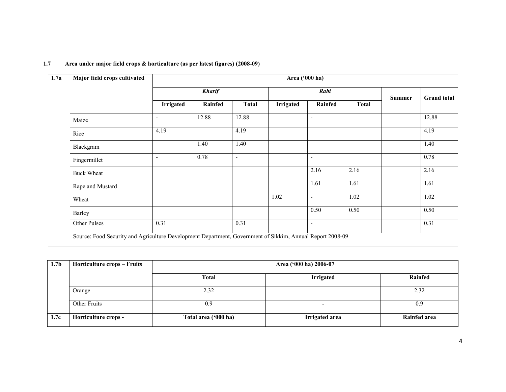| 1.7a              | Major field crops cultivated |                          | Area ('000 ha) |                          |                  |                          |              |               |                    |  |  |
|-------------------|------------------------------|--------------------------|----------------|--------------------------|------------------|--------------------------|--------------|---------------|--------------------|--|--|
|                   |                              |                          | <b>Kharif</b>  |                          | Rabi             |                          |              | <b>Summer</b> | <b>Grand</b> total |  |  |
|                   |                              | <b>Irrigated</b>         | Rainfed        | <b>Total</b>             | <b>Irrigated</b> | <b>Rainfed</b>           | <b>Total</b> |               |                    |  |  |
| Maize             |                              | $\blacksquare$           | 12.88          | 12.88                    |                  | ٠                        |              |               | 12.88              |  |  |
| Rice              |                              | 4.19                     |                | 4.19                     |                  |                          |              |               | 4.19               |  |  |
| Blackgram         |                              |                          | 1.40           | 1.40                     |                  |                          |              |               | 1.40               |  |  |
| Fingermillet      |                              | $\overline{\phantom{0}}$ | 0.78           | $\overline{\phantom{a}}$ |                  | $\overline{\phantom{a}}$ |              |               | 0.78               |  |  |
| <b>Buck Wheat</b> |                              |                          |                |                          |                  | 2.16                     | 2.16         |               | 2.16               |  |  |
| Rape and Mustard  |                              |                          |                |                          |                  | 1.61                     | 1.61         |               | 1.61               |  |  |
| Wheat             |                              |                          |                |                          | 1.02             | $\blacksquare$           | 1.02         |               | 1.02               |  |  |
| Barley            |                              |                          |                |                          |                  | 0.50                     | 0.50         |               | 0.50               |  |  |
| Other Pulses      |                              | 0.31                     |                | 0.31                     |                  | $\overline{\phantom{a}}$ |              |               | 0.31               |  |  |

# 1.7 Area under major field crops & horticulture (as per latest figures) (2008-09)

| 1.7 <sub>b</sub> | Horticulture crops – Fruits |                      | Area ('000 ha) 2006-07 |                     |
|------------------|-----------------------------|----------------------|------------------------|---------------------|
|                  |                             | <b>Total</b>         | <b>Irrigated</b>       | Rainfed             |
|                  | Orange                      | 2.32                 |                        | 2.32                |
|                  | Other Fruits                | 0.9                  | -                      | 0.9                 |
| 1.7c             | Horticulture crops -        | Total area ('000 ha) | Irrigated area         | <b>Rainfed area</b> |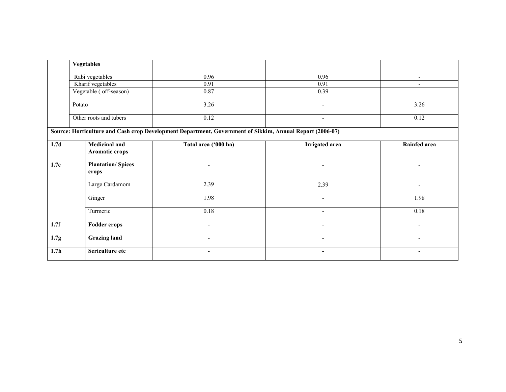|                  | <b>Vegetables</b>                      |                                                                                                          |                          |                          |
|------------------|----------------------------------------|----------------------------------------------------------------------------------------------------------|--------------------------|--------------------------|
|                  | Rabi vegetables                        | 0.96                                                                                                     | 0.96                     | $\overline{\phantom{a}}$ |
|                  | Kharif vegetables                      | 0.91                                                                                                     | 0.91                     | $\overline{\phantom{a}}$ |
|                  | Vegetable (off-season)                 | 0.87                                                                                                     | 0.39                     |                          |
|                  | Potato                                 | 3.26                                                                                                     | $\overline{\phantom{0}}$ | 3.26                     |
|                  | Other roots and tubers                 | 0.12                                                                                                     | $\overline{\phantom{a}}$ | 0.12                     |
|                  |                                        | Source: Horticulture and Cash crop Development Department, Government of Sikkim, Annual Report (2006-07) |                          |                          |
| 1.7 <sub>d</sub> | <b>Medicinal and</b><br>Aromatic crops | Total area ('000 ha)                                                                                     | Irrigated area           | Rainfed area             |
| 1.7e             | <b>Plantation/Spices</b><br>crops      | ۰                                                                                                        | ٠                        | ۰                        |
|                  | Large Cardamom                         | 2.39                                                                                                     | 2.39                     | ٠                        |
|                  | Ginger                                 | 1.98                                                                                                     | $\overline{\phantom{a}}$ | 1.98                     |
|                  | Turmeric                               | 0.18                                                                                                     | $\overline{\phantom{a}}$ | 0.18                     |
| 1.7f             | <b>Fodder crops</b>                    | $\blacksquare$                                                                                           | ٠                        | $\blacksquare$           |
| 1.7 <sub>g</sub> | <b>Grazing land</b>                    | $\blacksquare$                                                                                           | $\overline{\phantom{a}}$ | $\blacksquare$           |
| 1.7 <sub>h</sub> | Sericulture etc                        | $\overline{a}$                                                                                           | $\overline{\phantom{a}}$ | ۰                        |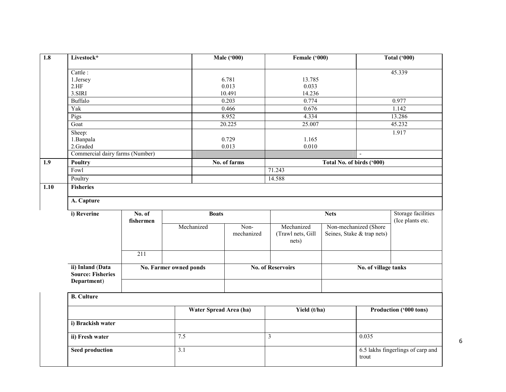| $\overline{1.8}$ | Livestock*                                   |                     |                        | <b>Male</b> ('000) |                            | Female ('000)              |                                            | Total ('000)           |  |  |  |  |
|------------------|----------------------------------------------|---------------------|------------------------|--------------------|----------------------------|----------------------------|--------------------------------------------|------------------------|--|--|--|--|
|                  | Cattle:                                      |                     |                        |                    |                            |                            |                                            | 45.339                 |  |  |  |  |
|                  | 1.Jersey                                     |                     |                        | 6.781              | 13.785                     |                            |                                            |                        |  |  |  |  |
|                  | 2.HF                                         |                     |                        | 0.013              | 0.033                      |                            |                                            |                        |  |  |  |  |
|                  | 3.SIRI                                       |                     |                        | 10.491             | 14.236                     |                            |                                            |                        |  |  |  |  |
|                  | Buffalo                                      |                     |                        | 0.203              | 0.774                      |                            |                                            | 0.977                  |  |  |  |  |
|                  | Yak                                          |                     |                        | 0.466              | 0.676                      |                            |                                            | 1.142                  |  |  |  |  |
|                  | Pigs                                         |                     |                        | 8.952              | 4.334                      |                            |                                            | 13.286                 |  |  |  |  |
|                  | Goat                                         |                     |                        | 20.225             | 25.007                     |                            |                                            | 45.232                 |  |  |  |  |
|                  | Sheep:                                       |                     |                        |                    |                            |                            |                                            | 1.917                  |  |  |  |  |
|                  | 1. Banpala                                   |                     |                        | 0.729              | 1.165                      |                            |                                            |                        |  |  |  |  |
|                  | 2.Graded                                     |                     |                        | 0.013              | 0.010                      |                            |                                            |                        |  |  |  |  |
|                  | Commercial dairy farms (Number)              |                     |                        |                    |                            |                            |                                            |                        |  |  |  |  |
| 1.9              | <b>Poultry</b>                               |                     |                        | No. of farms       |                            | Total No. of birds ('000)  |                                            |                        |  |  |  |  |
|                  | Fowl                                         |                     |                        |                    | 71.243                     |                            |                                            |                        |  |  |  |  |
|                  | Poultry                                      |                     |                        |                    | 14.588                     |                            |                                            |                        |  |  |  |  |
| 1.10             | <b>Fisheries</b>                             |                     |                        |                    |                            |                            |                                            |                        |  |  |  |  |
|                  |                                              |                     |                        |                    |                            |                            |                                            |                        |  |  |  |  |
|                  | A. Capture                                   |                     |                        |                    |                            |                            |                                            |                        |  |  |  |  |
|                  | i) Reverine                                  | No. of<br>fishermen |                        | <b>Boats</b>       |                            | <b>Nets</b>                |                                            |                        |  |  |  |  |
|                  |                                              |                     | Mechanized             | Non-               | Mechanized                 | Non-mechanized (Shore      |                                            | (Ice plants etc.       |  |  |  |  |
|                  |                                              |                     |                        | mechanized         | (Trawl nets, Gill<br>nets) | Seines, Stake & trap nets) |                                            |                        |  |  |  |  |
|                  |                                              | $\overline{211}$    |                        |                    |                            |                            |                                            |                        |  |  |  |  |
|                  | ii) Inland (Data<br><b>Source: Fisheries</b> |                     | No. Farmer owned ponds |                    | <b>No. of Reservoirs</b>   |                            | No. of village tanks                       |                        |  |  |  |  |
|                  | Department)                                  |                     |                        |                    |                            |                            |                                            |                        |  |  |  |  |
|                  | <b>B.</b> Culture                            |                     |                        |                    |                            |                            |                                            |                        |  |  |  |  |
|                  |                                              |                     | Water Spread Area (ha) |                    | Yield (t/ha)               |                            |                                            | Production ('000 tons) |  |  |  |  |
|                  | i) Brackish water                            |                     |                        |                    |                            |                            |                                            |                        |  |  |  |  |
|                  | ii) Fresh water                              |                     | 7.5                    |                    | $\overline{3}$             |                            | 0.035                                      |                        |  |  |  |  |
|                  | <b>Seed production</b>                       |                     | 3.1                    |                    |                            |                            | 6.5 lakhs fingerlings of carp and<br>trout |                        |  |  |  |  |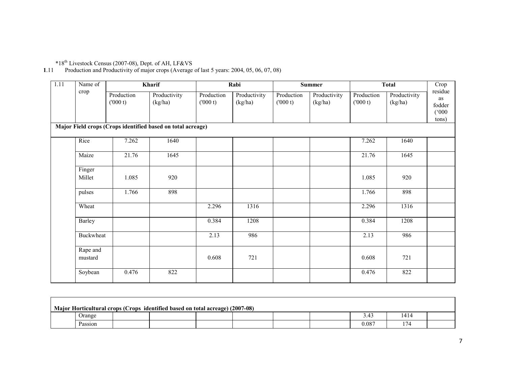\*18th Livestock Census (2007-08), Dept. of AH, LF&VS 1.11 Production and Productivity of major crops (Average of last 5 years: 2004, 05, 06, 07, 08)

| $\overline{1.11}$ | Name of             |                       | Kharif                                                      |                       | Rabi                    |                       | <b>Summer</b>           | <b>Total</b>          |                         | Crop                                      |
|-------------------|---------------------|-----------------------|-------------------------------------------------------------|-----------------------|-------------------------|-----------------------|-------------------------|-----------------------|-------------------------|-------------------------------------------|
|                   | crop                | Production<br>(000 t) | Productivity<br>(kg/ha)                                     | Production<br>(000 t) | Productivity<br>(kg/ha) | Production<br>(000 t) | Productivity<br>(kg/ha) | Production<br>(000 t) | Productivity<br>(kg/ha) | residue<br>as<br>fodder<br>(000)<br>tons) |
|                   |                     |                       | Major Field crops (Crops identified based on total acreage) |                       |                         |                       |                         |                       |                         |                                           |
|                   | Rice                | 7.262                 | 1640                                                        |                       |                         |                       |                         | 7.262                 | 1640                    |                                           |
|                   | Maize               | 21.76                 | 1645                                                        |                       |                         |                       |                         | 21.76                 | 1645                    |                                           |
|                   | Finger<br>Millet    | 1.085                 | 920                                                         |                       |                         |                       |                         | 1.085                 | 920                     |                                           |
|                   | pulses              | 1.766                 | 898                                                         |                       |                         |                       |                         | 1.766                 | 898                     |                                           |
|                   | Wheat               |                       |                                                             | 2.296                 | 1316                    |                       |                         | 2.296                 | 1316                    |                                           |
|                   | Barley              |                       |                                                             | 0.384                 | 1208                    |                       |                         | 0.384                 | 1208                    |                                           |
|                   | Buckwheat           |                       |                                                             | 2.13                  | 986                     |                       |                         | 2.13                  | 986                     |                                           |
|                   | Rape and<br>mustard |                       |                                                             | 0.608                 | 721                     |                       |                         | 0.608                 | 721                     |                                           |
|                   | Soybean             | 0.476                 | 822                                                         |                       |                         |                       |                         | 0.476                 | 822                     |                                           |

| Major Horticultural crops (Crops identified based on total acreage) (2007-08) |  |  |  |  |  |  |       |      |  |  |
|-------------------------------------------------------------------------------|--|--|--|--|--|--|-------|------|--|--|
| Jrange                                                                        |  |  |  |  |  |  | 3.4.  | 1414 |  |  |
| Passion                                                                       |  |  |  |  |  |  | 0.087 |      |  |  |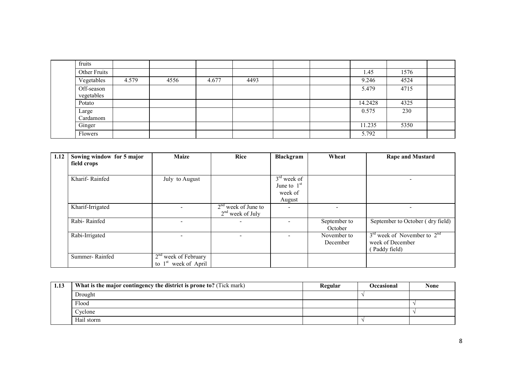|  | fruits                   |       |      |       |      |  |         |      |  |
|--|--------------------------|-------|------|-------|------|--|---------|------|--|
|  | Other Fruits             |       |      |       |      |  | 1.45    | 1576 |  |
|  | Vegetables               | 4.579 | 4556 | 4.677 | 4493 |  | 9.246   | 4524 |  |
|  | Off-season<br>vegetables |       |      |       |      |  | 5.479   | 4715 |  |
|  | Potato                   |       |      |       |      |  | 14.2428 | 4325 |  |
|  | Large<br>Cardamom        |       |      |       |      |  | 0.575   | 230  |  |
|  | Ginger                   |       |      |       |      |  | 11.235  | 5350 |  |
|  | Flowers                  |       |      |       |      |  | 5.792   |      |  |

| 1.12 | Sowing window for 5 major | <b>Maize</b>                                               | <b>Rice</b>                                 | <b>Blackgram</b>                                    | Wheat                   | <b>Rape and Mustard</b>                                             |
|------|---------------------------|------------------------------------------------------------|---------------------------------------------|-----------------------------------------------------|-------------------------|---------------------------------------------------------------------|
|      | field crops               |                                                            |                                             |                                                     |                         |                                                                     |
|      | Kharif-Rainfed            | July to August                                             |                                             | $3rd$ week of<br>June to $1st$<br>week of<br>August |                         |                                                                     |
|      | Kharif-Irrigated          |                                                            | $2nd$ week of June to<br>$2nd$ week of July |                                                     |                         |                                                                     |
|      | Rabi-Rainfed              |                                                            |                                             |                                                     | September to<br>October | September to October (dry field)                                    |
|      | Rabi-Irrigated            | $\overline{\phantom{0}}$                                   | ٠                                           | ٠                                                   | November to<br>December | $3rd$ week of November to $2nd$<br>week of December<br>Paddy field) |
|      | Summer-Rainfed            | $2nd$ week of February<br>to 1 <sup>st</sup> week of April |                                             |                                                     |                         |                                                                     |

| 1.13 | What is the major contingency the district is prone to? (Tick mark) | Regular | Occasional | <b>None</b> |
|------|---------------------------------------------------------------------|---------|------------|-------------|
|      | Drought                                                             |         |            |             |
|      | Flood                                                               |         |            |             |
|      | Cyclone                                                             |         |            |             |
|      | Hail storm                                                          |         |            |             |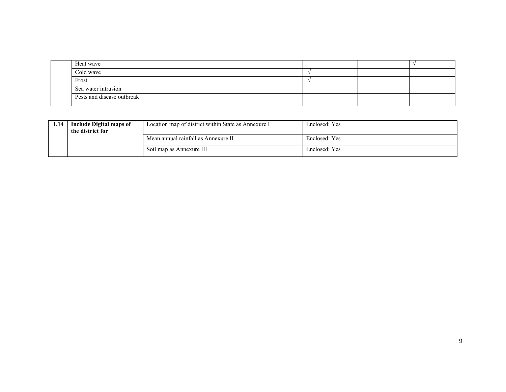| Heat wave                  |  |  |
|----------------------------|--|--|
| Cold wave                  |  |  |
| Frost                      |  |  |
| Sea water intrusion        |  |  |
| Pests and disease outbreak |  |  |

| 1.14 | <b>Include Digital maps of</b><br>the district for | Location map of district within State as Annexure I | Enclosed: Yes |
|------|----------------------------------------------------|-----------------------------------------------------|---------------|
|      |                                                    | Mean annual rainfall as Annexure II                 | Enclosed: Yes |
|      |                                                    | Soil map as Annexure III                            | Enclosed: Yes |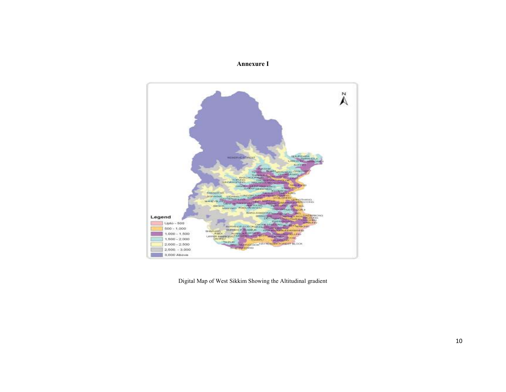# Annexure I



Digital Map of West Sikkim Showing the Altitudinal gradient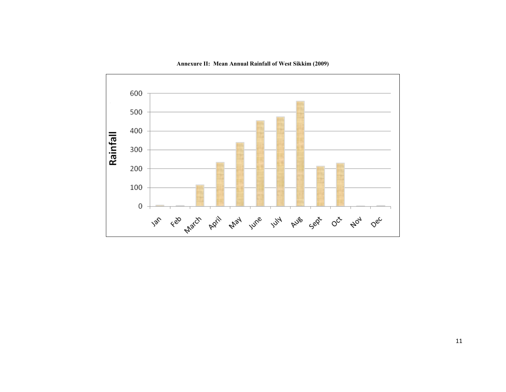

Annexure II: Mean Annual Rainfall of West Sikkim (2009)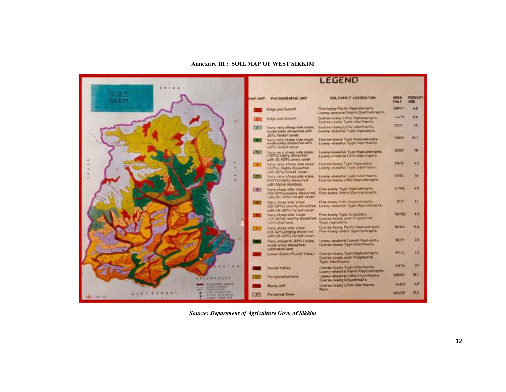#### Annexure III : SOIL MAP OF WEST SIKKIM



Source: Department of Agriculture Govt. of Sikkim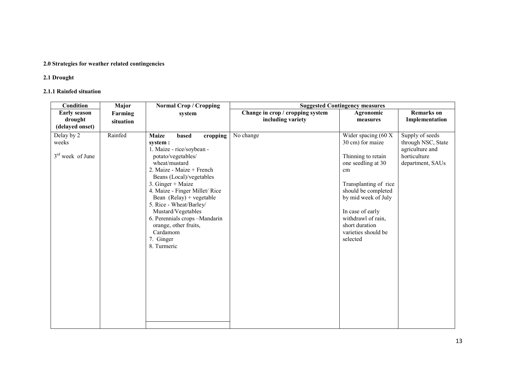# 2.0 Strategies for weather related contingencies

### 2.1 Drought

# 2.1.1 Rainfed situation

| Condition                                           | Major     | <b>Normal Crop / Cropping</b>                                                                                                                                                                                                                                                                                                                                                                                     |                                  | <b>Suggested Contingency measures</b>                                                                                                                                                                                                                                      |                                                                                              |
|-----------------------------------------------------|-----------|-------------------------------------------------------------------------------------------------------------------------------------------------------------------------------------------------------------------------------------------------------------------------------------------------------------------------------------------------------------------------------------------------------------------|----------------------------------|----------------------------------------------------------------------------------------------------------------------------------------------------------------------------------------------------------------------------------------------------------------------------|----------------------------------------------------------------------------------------------|
| <b>Early season</b>                                 | Farming   | system                                                                                                                                                                                                                                                                                                                                                                                                            | Change in crop / cropping system | Agronomic                                                                                                                                                                                                                                                                  | <b>Remarks</b> on                                                                            |
| drought                                             | situation |                                                                                                                                                                                                                                                                                                                                                                                                                   | including variety                | measures                                                                                                                                                                                                                                                                   | Implementation                                                                               |
| (delayed onset)                                     |           |                                                                                                                                                                                                                                                                                                                                                                                                                   |                                  |                                                                                                                                                                                                                                                                            |                                                                                              |
| Delay by 2<br>weeks<br>3 <sup>rd</sup> week of June | Rainfed   | <b>Maize</b><br>based<br>cropping<br>system :<br>1. Maize - rice/soybean -<br>potato/vegetables/<br>wheat/mustard<br>2. Maize - Maize + French<br>Beans (Local)/vegetables<br>3. Ginger + Maize<br>4. Maize - Finger Millet/Rice<br>Bean $(Relay) + vegetable$<br>5. Rice - Wheat/Barley/<br>Mustard/Vegetables<br>6. Perennials crops -Mandarin<br>orange, other fruits,<br>Cardamom<br>7. Ginger<br>8. Turmeric | No change                        | Wider spacing $(60 \text{ X})$<br>30 cm) for maize<br>Thinning to retain<br>one seedling at 30<br>cm<br>Transplanting of rice<br>should be completed<br>by mid week of July<br>In case of early<br>withdrawl of rain,<br>short duration<br>varieties should be<br>selected | Supply of seeds<br>through NSC, State<br>agriculture and<br>horticulture<br>department, SAUs |
|                                                     |           |                                                                                                                                                                                                                                                                                                                                                                                                                   |                                  |                                                                                                                                                                                                                                                                            |                                                                                              |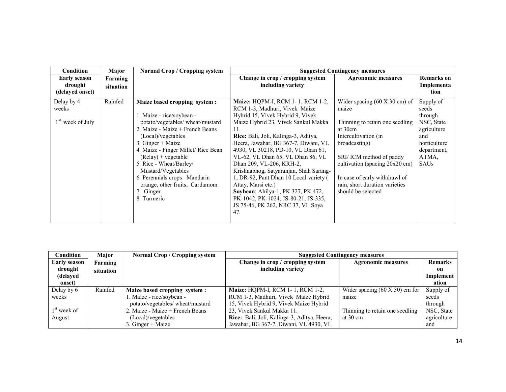| <b>Condition</b>                                  | Major                | <b>Normal Crop / Cropping system</b>                                                                                                                                                                                                                                                                                                                                                          |                                                                                                                                                                                                                                                                                                                                                                                                                                                                                                                                                                                      | <b>Suggested Contingency measures</b>                                                                                                                                                                                                                                                                  |                                                                                                                          |  |
|---------------------------------------------------|----------------------|-----------------------------------------------------------------------------------------------------------------------------------------------------------------------------------------------------------------------------------------------------------------------------------------------------------------------------------------------------------------------------------------------|--------------------------------------------------------------------------------------------------------------------------------------------------------------------------------------------------------------------------------------------------------------------------------------------------------------------------------------------------------------------------------------------------------------------------------------------------------------------------------------------------------------------------------------------------------------------------------------|--------------------------------------------------------------------------------------------------------------------------------------------------------------------------------------------------------------------------------------------------------------------------------------------------------|--------------------------------------------------------------------------------------------------------------------------|--|
| <b>Early season</b><br>drought<br>(delayed onset) | Farming<br>situation |                                                                                                                                                                                                                                                                                                                                                                                               | Change in crop / cropping system<br>including variety                                                                                                                                                                                                                                                                                                                                                                                                                                                                                                                                | <b>Agronomic measures</b>                                                                                                                                                                                                                                                                              | <b>Remarks</b> on<br>Implementa<br>tion                                                                                  |  |
| Delay by 4<br>weeks<br>$1st$ week of July         | Rainfed              | Maize based cropping system:<br>1. Maize - rice/soybean -<br>potato/vegetables/ wheat/mustard<br>2. Maize - Maize + French Beans<br>(Local)/vegetables<br>3. Ginger $+$ Maize<br>4. Maize - Finger Millet/ Rice Bean<br>$(Relay) + vegetable$<br>5. Rice - Wheat/Barley/<br>Mustard/Vegetables<br>6. Perennials crops -Mandarin<br>orange, other fruits, Cardamom<br>7. Ginger<br>8. Turmeric | <b>Maize: HOPM-I, RCM 1-1, RCM 1-2,</b><br>RCM 1-3, Madhuri, Vivek Maize<br>Hybrid 15, Vivek Hybrid 9, Vivek<br>Maize Hybrid 23, Vivek Sankul Makka<br>11.<br>Rice: Bali, Joli, Kalinga-3, Aditya,<br>Heera, Jawahar, BG 367-7, Diwani, VL<br>4930, VL 30218, PD-10, VL Dhan 61,<br>VL-62, VL Dhan 65, VL Dhan 86, VL<br>Dhan 209, VL-206, KRH-2,<br>Krishnabhog, Satyaranjan, Shah Sarang-<br>1, DR-92, Pant Dhan 10 Local variety (<br>Attay, Marsi etc.)<br>Soybean: Ahilya-1, PK 327, PK 472,<br>PK-1042, PK-1024, JS-80-21, JS-335,<br>JS 75-46, PK 262, NRC 37, VL Soya<br>47. | Wider spacing $(60 \text{ X } 30 \text{ cm})$ of<br>maize<br>Thinning to retain one seedling<br>at 30cm<br>Intercultivation (in<br>broadcasting)<br>SRI/ICM method of paddy<br>cultivation (spacing 20x20 cm)<br>In case of early withdrawl of<br>rain, short duration varieties<br>should be selected | Supply of<br>seeds<br>through<br>NSC, State<br>agriculture<br>and<br>horticulture<br>department,<br>ATMA.<br><b>SAUs</b> |  |

| Condition               | <b>Major</b> | <b>Normal Crop / Cropping system</b> |                                             | <b>Suggested Contingency measures</b> |                |  |
|-------------------------|--------------|--------------------------------------|---------------------------------------------|---------------------------------------|----------------|--|
| <b>Early season</b>     | Farming      |                                      | Change in crop / cropping system            | <b>Agronomic measures</b>             | <b>Remarks</b> |  |
| drought                 | situation    |                                      | including variety                           |                                       | on             |  |
| (delayed                |              |                                      |                                             |                                       | Implement      |  |
| onset)                  |              |                                      |                                             |                                       | ation          |  |
| Delay by 6              | Rainfed      | Maize based cropping system :        | <b>Maize: HOPM-I, RCM 1-1, RCM 1-2,</b>     | Wider spacing $(60 \times 30)$ cm for | Supply of      |  |
| weeks                   |              | 1. Maize - rice/soybean -            | RCM 1-3, Madhuri, Vivek Maize Hybrid        | maize                                 | seeds          |  |
|                         |              | potato/vegetables/ wheat/mustard     | 15, Vivek Hybrid 9, Vivek Maize Hybrid      |                                       | through        |  |
| 1 <sup>st</sup> week of |              | 2. Maize - Maize + French Beans      | 23, Vivek Sankul Makka 11.                  | Thinning to retain one seedling       | NSC, State     |  |
| August                  |              | (Local)/vegetables                   | Rice: Bali, Joli, Kalinga-3, Aditya, Heera, | at $30 \text{ cm}$                    | agriculture    |  |
|                         |              | 3. Ginger $+$ Maize                  | Jawahar, BG 367-7, Diwani, VL 4930, VL      |                                       | and            |  |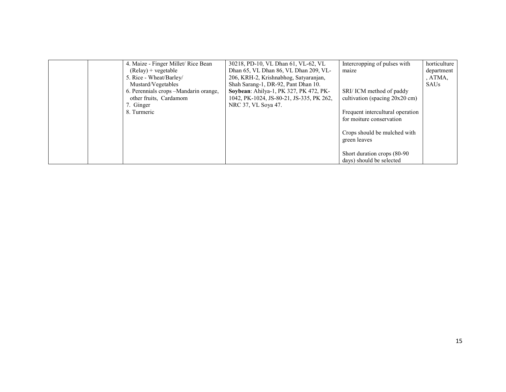|  | 4. Maize - Finger Millet/ Rice Bean    | 30218, PD-10, VL Dhan 61, VL-62, VL      | Intercropping of pulses with     | horticulture |
|--|----------------------------------------|------------------------------------------|----------------------------------|--------------|
|  | $(Relay) + vegetable$                  | Dhan 65, VL Dhan 86, VL Dhan 209, VL-    | maize                            | department   |
|  | 5. Rice - Wheat/Barley/                | 206, KRH-2, Krishnabhog, Satyaranjan,    |                                  | , ATMA,      |
|  | Mustard/Vegetables                     | Shah Sarang-1, DR-92, Pant Dhan 10.      |                                  | <b>SAUs</b>  |
|  | 6. Perennials crops - Mandarin orange, | Soybean: Ahilya-1, PK 327, PK 472, PK-   | SRI/ICM method of paddy          |              |
|  | other fruits, Cardamom                 | 1042, PK-1024, JS-80-21, JS-335, PK 262, | cultivation (spacing 20x20 cm)   |              |
|  | 7. Ginger                              | NRC 37, VL Soya 47.                      |                                  |              |
|  | 8. Turmeric                            |                                          | Frequent intercultural operation |              |
|  |                                        |                                          | for moiture conservation         |              |
|  |                                        |                                          |                                  |              |
|  |                                        |                                          | Crops should be mulched with     |              |
|  |                                        |                                          | green leaves                     |              |
|  |                                        |                                          |                                  |              |
|  |                                        |                                          | Short duration crops (80-90)     |              |
|  |                                        |                                          | days) should be selected         |              |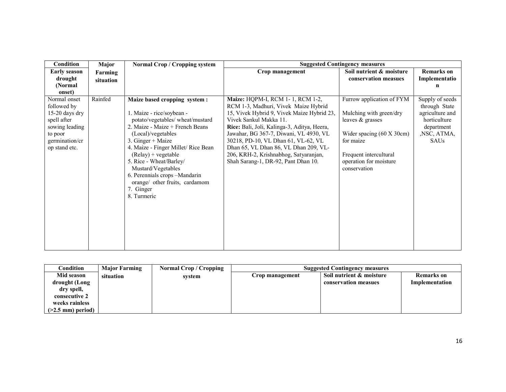| Condition<br>Major                                                                                                                        | Normal Crop / Cropping system                                                                                                                                                                                                                                                                                                                                                              |                                                                                                                                                                                                                                                                                                                                                                                                           | <b>Suggested Contingency measures</b>                                                                                                                                                  |                                                                                                           |
|-------------------------------------------------------------------------------------------------------------------------------------------|--------------------------------------------------------------------------------------------------------------------------------------------------------------------------------------------------------------------------------------------------------------------------------------------------------------------------------------------------------------------------------------------|-----------------------------------------------------------------------------------------------------------------------------------------------------------------------------------------------------------------------------------------------------------------------------------------------------------------------------------------------------------------------------------------------------------|----------------------------------------------------------------------------------------------------------------------------------------------------------------------------------------|-----------------------------------------------------------------------------------------------------------|
| <b>Early season</b><br>Farming<br>drought<br>situation<br>(Normal)                                                                        |                                                                                                                                                                                                                                                                                                                                                                                            | Crop management                                                                                                                                                                                                                                                                                                                                                                                           | Soil nutrient & moisture<br>conservation measues                                                                                                                                       | <b>Remarks</b> on<br>Implementatio<br>n                                                                   |
| onset)                                                                                                                                    |                                                                                                                                                                                                                                                                                                                                                                                            |                                                                                                                                                                                                                                                                                                                                                                                                           |                                                                                                                                                                                        |                                                                                                           |
| Rainfed<br>Normal onset<br>followed by<br>$15-20$ days dry<br>spell after<br>sowing leading<br>to poor<br>germination/cr<br>op stand etc. | Maize based cropping system:<br>1. Maize - rice/soybean -<br>potato/vegetables/wheat/mustard<br>2. Maize - Maize + French Beans<br>(Local)/vegetables<br>3. Ginger + Maize<br>4. Maize - Finger Millet/ Rice Bean<br>$(Relay) + vegetable$<br>5. Rice - Wheat/Barley/<br>Mustard/Vegetables<br>6. Perennials crops -Mandarin<br>orange/ other fruits, cardamom<br>7. Ginger<br>8. Turmeric | Maize: HQPM-I, RCM 1-1, RCM 1-2,<br>RCM 1-3, Madhuri, Vivek Maize Hybrid<br>15, Vivek Hybrid 9, Vivek Maize Hybrid 23,<br>Vivek Sankul Makka 11.<br>Rice: Bali, Joli, Kalinga-3, Aditya, Heera,<br>Jawahar, BG 367-7, Diwani, VL 4930, VL<br>30218, PD-10, VL Dhan 61, VL-62, VL<br>Dhan 65, VL Dhan 86, VL Dhan 209, VL-<br>206, KRH-2, Krishnabhog, Satyaranjan,<br>Shah Sarang-1, DR-92, Pant Dhan 10. | Furrow application of FYM<br>Mulching with green/dry<br>leaves & grasses<br>Wider spacing (60 X 30cm)<br>for maize<br>Frequent intercultural<br>operation for moisture<br>conservation | Supply of seeds<br>through State<br>agriculture and<br>horticulture<br>department<br>, NSC, ATMA,<br>SAUs |

| Condition           | <b>Major Farming</b> | Normal Crop / Cropping | <b>Suggested Contingency measures</b> |                          |                   |
|---------------------|----------------------|------------------------|---------------------------------------|--------------------------|-------------------|
| Mid season          | situation            | system                 | Crop management                       | Soil nutrient & moisture | <b>Remarks</b> on |
| drought (Long       |                      |                        |                                       | conservation measues     | Implementation    |
| dry spell,          |                      |                        |                                       |                          |                   |
| consecutive 2       |                      |                        |                                       |                          |                   |
| weeks rainless      |                      |                        |                                       |                          |                   |
| $(>2.5$ mm) period) |                      |                        |                                       |                          |                   |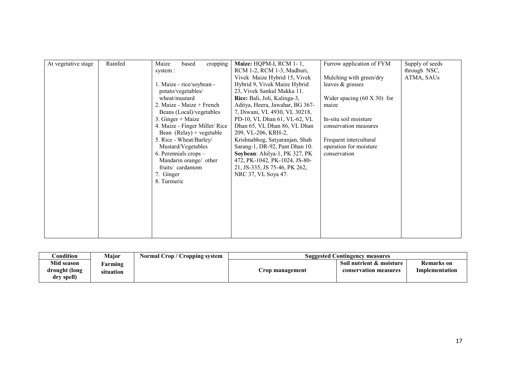| At vegetative stage | Rainfed | Maize<br>cropping<br>based<br>system :<br>1. Maize - rice/soybean -<br>potato/vegetables/<br>wheat/mustard<br>2. Maize - Maize + French<br>Beans (Local)/vegetables<br>$3.$ Ginger + Maize<br>4. Maize - Finger Millet/Rice<br>Bean $(Relay)$ + vegetable<br>5. Rice - Wheat/Barley/<br>Mustard/Vegetables<br>6. Perennials crops -<br>Mandarin orange/ other<br>fruits/ cardamom<br>7. Ginger<br>8. Turmeric | Maize: HQPM-I, RCM 1-1,<br>RCM 1-2, RCM 1-3, Madhuri,<br>Vivek Maize Hybrid 15, Vivek<br>Hybrid 9, Vivek Maize Hybrid<br>23, Vivek Sankul Makka 11.<br>Rice: Bali, Joli, Kalinga-3,<br>Aditya, Heera, Jawahar, BG 367-<br>7, Diwani, VL 4930, VL 30218,<br>PD-10, VL Dhan 61, VL-62, VL<br>Dhan 65, VL Dhan 86, VL Dhan<br>209, VL-206, KRH-2,<br>Krishnabhog, Satyaranjan, Shah<br>Sarang-1, DR-92, Pant Dhan 10.<br>Soybean: Ahilya-1, PK 327, PK<br>472, PK-1042, PK-1024, JS-80-<br>21, JS-335, JS 75-46, PK 262,<br>NRC 37, VL Soya 47. | Furrow application of FYM<br>Mulching with green/dry<br>leaves & grasses<br>Wider spacing $(60 \times 30)$ for<br>maize<br>In-situ soil moisture<br>conservation measures<br>Frequent intercultural<br>operation for moisture<br>conservation | Supply of seeds<br>through NSC,<br>ATMA, SAUs |
|---------------------|---------|---------------------------------------------------------------------------------------------------------------------------------------------------------------------------------------------------------------------------------------------------------------------------------------------------------------------------------------------------------------------------------------------------------------|----------------------------------------------------------------------------------------------------------------------------------------------------------------------------------------------------------------------------------------------------------------------------------------------------------------------------------------------------------------------------------------------------------------------------------------------------------------------------------------------------------------------------------------------|-----------------------------------------------------------------------------------------------------------------------------------------------------------------------------------------------------------------------------------------------|-----------------------------------------------|
|---------------------|---------|---------------------------------------------------------------------------------------------------------------------------------------------------------------------------------------------------------------------------------------------------------------------------------------------------------------------------------------------------------------------------------------------------------------|----------------------------------------------------------------------------------------------------------------------------------------------------------------------------------------------------------------------------------------------------------------------------------------------------------------------------------------------------------------------------------------------------------------------------------------------------------------------------------------------------------------------------------------------|-----------------------------------------------------------------------------------------------------------------------------------------------------------------------------------------------------------------------------------------------|-----------------------------------------------|

| Condition                                 | <b>Major</b>         | <b>Normal Crop / Cropping system</b> | <b>Suggested Contingency measures</b> |                                                   |                              |
|-------------------------------------------|----------------------|--------------------------------------|---------------------------------------|---------------------------------------------------|------------------------------|
| Mid season<br>drought (long<br>dry spell) | Farming<br>situation |                                      | rop management                        | Soil nutrient & moisture<br>conservation measures | Remarks on<br>Implementation |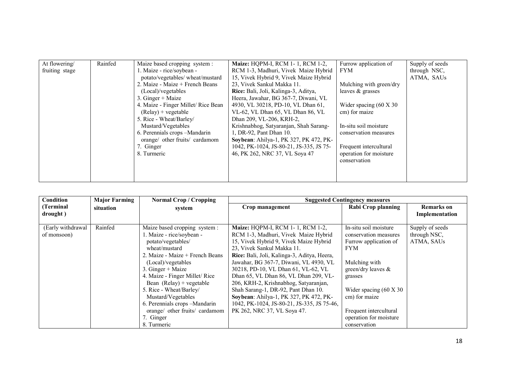| leaves $\&$ grasses<br>(Local)/vegetables<br>Rice: Bali, Joli, Kalinga-3, Aditya,<br>$3.$ Ginger + Maize<br>Heera, Jawahar, BG 367-7, Diwani, VL<br>4. Maize - Finger Millet/Rice Bean<br>4930, VL 30218, PD-10, VL Dhan 61,<br>Wider spacing $(60 \text{ X } 30)$<br>cm) for maize<br>$(Relay) + vegetable$<br>VL-62, VL Dhan 65, VL Dhan 86, VL<br>5. Rice - Wheat/Barley/<br>Dhan 209, VL-206, KRH-2,<br>Mustard/Vegetables<br>Krishnabhog, Satyaranjan, Shah Sarang-<br>In-situ soil moisture<br>6. Perennials crops -Mandarin<br>1, DR-92, Pant Dhan 10.<br>conservation measures<br>orange/ other fruits/ cardamom<br>Soybean: Ahilya-1, PK 327, PK 472, PK-<br>1042, PK-1024, JS-80-21, JS-335, JS 75-<br>Frequent intercultural<br>7. Ginger<br>46, PK 262, NRC 37, VL Sova 47<br>operation for moisture<br>8. Turmeric | At flowering/<br>fruiting stage | Rainfed | Maize based cropping system :<br>1. Maize - rice/soybean -<br>potato/vegetables/ wheat/mustard<br>2. Maize - Maize + French Beans | <b>Maize: HOPM-I, RCM 1-1, RCM 1-2,</b><br>RCM 1-3, Madhuri, Vivek Maize Hybrid<br>15, Vivek Hybrid 9, Vivek Maize Hybrid<br>23. Vivek Sankul Makka 11. | Furrow application of<br><b>FYM</b><br>Mulching with green/dry | Supply of seeds<br>through NSC.<br>ATMA, SAUs |
|---------------------------------------------------------------------------------------------------------------------------------------------------------------------------------------------------------------------------------------------------------------------------------------------------------------------------------------------------------------------------------------------------------------------------------------------------------------------------------------------------------------------------------------------------------------------------------------------------------------------------------------------------------------------------------------------------------------------------------------------------------------------------------------------------------------------------------|---------------------------------|---------|-----------------------------------------------------------------------------------------------------------------------------------|---------------------------------------------------------------------------------------------------------------------------------------------------------|----------------------------------------------------------------|-----------------------------------------------|
|                                                                                                                                                                                                                                                                                                                                                                                                                                                                                                                                                                                                                                                                                                                                                                                                                                 |                                 |         |                                                                                                                                   |                                                                                                                                                         | conservation                                                   |                                               |

| <b>Condition</b>  | <b>Major Farming</b> | <b>Normal Crop / Cropping</b>   |                                             | <b>Suggested Contingency measures</b> |                 |
|-------------------|----------------------|---------------------------------|---------------------------------------------|---------------------------------------|-----------------|
| (Terminal         | situation            | system                          | Crop management                             | Rabi Crop planning                    | Remarks on      |
| drought)          |                      |                                 |                                             |                                       | Implementation  |
|                   |                      |                                 |                                             |                                       |                 |
| (Early withdrawal | Rainfed              | Maize based cropping system:    | <b>Maize: HOPM-I, RCM 1-1, RCM 1-2,</b>     | In-situ soil moisture                 | Supply of seeds |
| of monsoon)       |                      | . Maize - rice/soybean -        | RCM 1-3, Madhuri, Vivek Maize Hybrid        | conservation measures                 | through NSC,    |
|                   |                      | potato/vegetables/              | 15, Vivek Hybrid 9, Vivek Maize Hybrid      | Furrow application of                 | ATMA, SAUs      |
|                   |                      | wheat/mustard                   | 23, Vivek Sankul Makka 11.                  | <b>FYM</b>                            |                 |
|                   |                      | 2. Maize - Maize + French Beans | Rice: Bali, Joli, Kalinga-3, Aditya, Heera, |                                       |                 |
|                   |                      | (Local)/vegetables              | Jawahar, BG 367-7, Diwani, VL 4930, VL      | Mulching with                         |                 |
|                   |                      | $3. Ginger + Maize$             | 30218, PD-10, VL Dhan 61, VL-62, VL         | green/dry leaves $\&$                 |                 |
|                   |                      | 4. Maize - Finger Millet/Rice   | Dhan 65, VL Dhan 86, VL Dhan 209, VL-       | grasses                               |                 |
|                   |                      | Bean $(Relay) + vegetable$      | 206, KRH-2, Krishnabhog, Satyaranjan,       |                                       |                 |
|                   |                      | 5. Rice - Wheat/Barley/         | Shah Sarang-1, DR-92, Pant Dhan 10.         | Wider spacing $(60 \text{ X } 30)$    |                 |
|                   |                      | Mustard/Vegetables              | Soybean: Ahilya-1, PK 327, PK 472, PK-      | cm) for maize                         |                 |
|                   |                      | 6. Perennials crops -Mandarin   | 1042, PK-1024, JS-80-21, JS-335, JS 75-46,  |                                       |                 |
|                   |                      | orange/ other fruits/ cardamom  | PK 262, NRC 37, VL Soya 47.                 | Frequent intercultural                |                 |
|                   |                      | 7. Ginger                       |                                             | operation for moisture                |                 |
|                   |                      | 8. Turmeric                     |                                             | conservation                          |                 |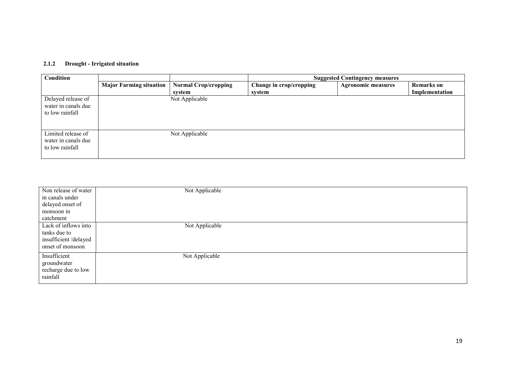#### 2.1.2 Drought - Irrigated situation

| Condition                                                    |                                |                             | <b>Suggested Contingency measures</b> |                           |                   |  |
|--------------------------------------------------------------|--------------------------------|-----------------------------|---------------------------------------|---------------------------|-------------------|--|
|                                                              | <b>Major Farming situation</b> | <b>Normal Crop/cropping</b> | Change in crop/cropping               | <b>Agronomic measures</b> | <b>Remarks</b> on |  |
|                                                              |                                | system                      | svstem                                |                           | Implementation    |  |
| Delayed release of<br>water in canals due<br>to low rainfall |                                | Not Applicable              |                                       |                           |                   |  |
| Limited release of<br>water in canals due<br>to low rainfall |                                | Not Applicable              |                                       |                           |                   |  |

| Non release of water | Not Applicable |
|----------------------|----------------|
| in canals under      |                |
| delayed onset of     |                |
| monsoon in           |                |
| catchment            |                |
| Lack of inflows into | Not Applicable |
| tanks due to         |                |
| insufficient/delayed |                |
| onset of monsoon     |                |
|                      |                |
| Insufficient         | Not Applicable |
| groundwater          |                |
| recharge due to low  |                |
| rainfall             |                |
|                      |                |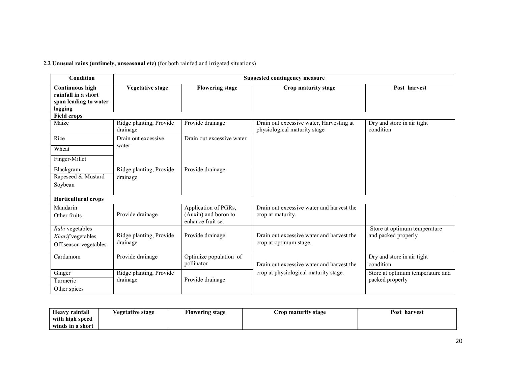2.2 Unusual rains (untimely, unseasonal etc) (for both rainfed and irrigated situations)

| <b>Condition</b>                                                                  | <b>Suggested contingency measure</b> |                                                                   |                                                                          |                                         |  |  |
|-----------------------------------------------------------------------------------|--------------------------------------|-------------------------------------------------------------------|--------------------------------------------------------------------------|-----------------------------------------|--|--|
| <b>Continuous high</b><br>rainfall in a short<br>span leading to water<br>logging | <b>Vegetative stage</b>              | <b>Flowering stage</b>                                            | Crop maturity stage                                                      | Post harvest                            |  |  |
| <b>Field crops</b>                                                                |                                      |                                                                   |                                                                          |                                         |  |  |
| Maize                                                                             | Ridge planting, Provide<br>drainage  | Provide drainage                                                  | Drain out excessive water, Harvesting at<br>physiological maturity stage | Dry and store in air tight<br>condition |  |  |
| Rice                                                                              | Drain out excessive                  | Drain out excessive water                                         |                                                                          |                                         |  |  |
| Wheat                                                                             | water                                |                                                                   |                                                                          |                                         |  |  |
| Finger-Millet                                                                     |                                      |                                                                   |                                                                          |                                         |  |  |
| Blackgram<br>Rapeseed & Mustard<br>Soybean                                        | Ridge planting, Provide<br>drainage  | Provide drainage                                                  |                                                                          |                                         |  |  |
| <b>Horticultural crops</b>                                                        |                                      |                                                                   |                                                                          |                                         |  |  |
| Mandarin<br>Other fruits                                                          | Provide drainage                     | Application of PGRs,<br>(Auxin) and boron to<br>enhance fruit set | Drain out excessive water and harvest the<br>crop at maturity.           |                                         |  |  |
| Rabi vegetables                                                                   |                                      |                                                                   |                                                                          | Store at optimum temperature            |  |  |
| Kharif vegetables                                                                 | Ridge planting, Provide              | Provide drainage                                                  | Drain out excessive water and harvest the                                | and packed properly                     |  |  |
| Off season vegetables                                                             | drainage                             |                                                                   | crop at optimum stage.                                                   |                                         |  |  |
| Cardamom                                                                          | Provide drainage                     | Optimize population of<br>pollinator                              | Drain out excessive water and harvest the                                | Dry and store in air tight<br>condition |  |  |
| Ginger                                                                            | Ridge planting, Provide              |                                                                   | crop at physiological maturity stage.                                    | Store at optimum temperature and        |  |  |
| Turmeric                                                                          | drainage                             | Provide drainage                                                  |                                                                          | packed properly                         |  |  |
| Other spices                                                                      |                                      |                                                                   |                                                                          |                                         |  |  |

| <b>Heavy rainfall</b> | <i><b>Vegetative stage</b></i> | <b>Flowering stage</b> | Crop maturity stage | Post<br>harvest |
|-----------------------|--------------------------------|------------------------|---------------------|-----------------|
| with high speed       |                                |                        |                     |                 |
| winds in a short      |                                |                        |                     |                 |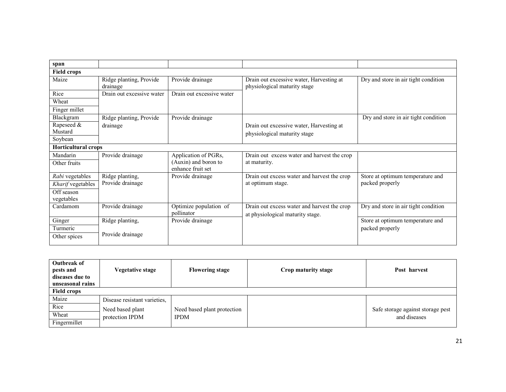| span                       |                                     |                                           |                                                                                 |                                      |
|----------------------------|-------------------------------------|-------------------------------------------|---------------------------------------------------------------------------------|--------------------------------------|
| <b>Field crops</b>         |                                     |                                           |                                                                                 |                                      |
| Maize                      | Ridge planting, Provide<br>drainage | Provide drainage                          | Drain out excessive water, Harvesting at<br>physiological maturity stage        | Dry and store in air tight condition |
| Rice                       | Drain out excessive water           | Drain out excessive water                 |                                                                                 |                                      |
| Wheat                      |                                     |                                           |                                                                                 |                                      |
| Finger millet              |                                     |                                           |                                                                                 |                                      |
| Blackgram                  | Ridge planting, Provide             | Provide drainage                          |                                                                                 | Dry and store in air tight condition |
| Rapeseed &                 | drainage                            |                                           | Drain out excessive water, Harvesting at                                        |                                      |
| Mustard                    |                                     |                                           | physiological maturity stage                                                    |                                      |
| Soybean                    |                                     |                                           |                                                                                 |                                      |
| <b>Horticultural crops</b> |                                     |                                           |                                                                                 |                                      |
| Mandarin                   | Provide drainage                    | Application of PGRs,                      | Drain out excess water and harvest the crop                                     |                                      |
| Other fruits               |                                     | (Auxin) and boron to<br>enhance fruit set | at maturity.                                                                    |                                      |
| Rabi vegetables            | Ridge planting,                     | Provide drainage                          | Drain out excess water and harvest the crop                                     | Store at optimum temperature and     |
| Kharif vegetables          | Provide drainage                    |                                           | at optimum stage.                                                               | packed properly                      |
| Off season                 |                                     |                                           |                                                                                 |                                      |
| vegetables                 |                                     |                                           |                                                                                 |                                      |
| Cardamom                   | Provide drainage                    | Optimize population of<br>pollinator      | Drain out excess water and harvest the crop<br>at physiological maturity stage. | Dry and store in air tight condition |
| Ginger                     | Ridge planting,                     | Provide drainage                          |                                                                                 | Store at optimum temperature and     |
| Turmeric                   |                                     |                                           |                                                                                 | packed properly                      |
| Other spices               | Provide drainage                    |                                           |                                                                                 |                                      |

| Outbreak of<br>pests and<br>diseases due to<br>unseasonal rains<br><b>Field crops</b> | Vegetative stage             | <b>Flowering stage</b>      | Crop maturity stage | Post harvest                      |
|---------------------------------------------------------------------------------------|------------------------------|-----------------------------|---------------------|-----------------------------------|
| Maize                                                                                 | Disease resistant varieties, |                             |                     |                                   |
| Rice                                                                                  | Need based plant             | Need based plant protection |                     | Safe storage against storage pest |
| Wheat                                                                                 | protection IPDM              | <b>IPDM</b>                 |                     | and diseases                      |
| Fingermillet                                                                          |                              |                             |                     |                                   |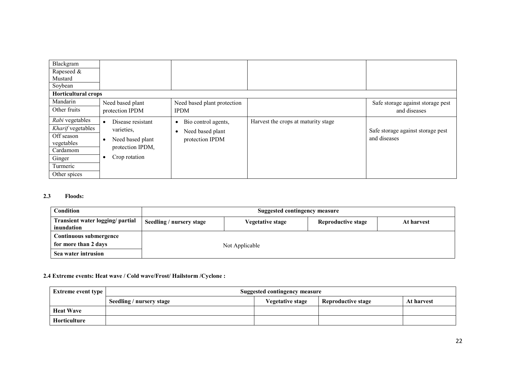| Blackgram                  |                                |                                  |                                     |                                   |
|----------------------------|--------------------------------|----------------------------------|-------------------------------------|-----------------------------------|
| Rapeseed &                 |                                |                                  |                                     |                                   |
| Mustard                    |                                |                                  |                                     |                                   |
| Soybean                    |                                |                                  |                                     |                                   |
| <b>Horticultural crops</b> |                                |                                  |                                     |                                   |
| Mandarin                   | Need based plant               | Need based plant protection      |                                     | Safe storage against storage pest |
| Other fruits               | protection IPDM                | <b>IPDM</b>                      |                                     | and diseases                      |
| Rabi vegetables            | Disease resistant<br>$\bullet$ | Bio control agents,<br>$\bullet$ | Harvest the crops at maturity stage |                                   |
| Kharif vegetables          | varieties,                     | Need based plant<br>$\bullet$    |                                     | Safe storage against storage pest |
| Off season                 | Need based plant<br>$\bullet$  | protection IPDM                  |                                     | and diseases                      |
| vegetables                 | protection IPDM,               |                                  |                                     |                                   |
| Cardamom                   |                                |                                  |                                     |                                   |
| Ginger                     | Crop rotation                  |                                  |                                     |                                   |
| Turmeric                   |                                |                                  |                                     |                                   |
| Other spices               |                                |                                  |                                     |                                   |

## 2.3 Floods:

| <b>Condition</b>                               | Suggested contingency measure |                         |                    |            |  |
|------------------------------------------------|-------------------------------|-------------------------|--------------------|------------|--|
| Transient water logging/ partial<br>inundation | Seedling / nursery stage      | <b>Vegetative stage</b> | Reproductive stage | At harvest |  |
| Continuous submergence<br>for more than 2 days | Not Applicable                |                         |                    |            |  |
| Sea water intrusion                            |                               |                         |                    |            |  |

# 2.4 Extreme events: Heat wave / Cold wave/Frost/ Hailstorm /Cyclone :

| <b>Extreme event type</b> | Suggested contingency measure                                                           |  |  |  |  |  |
|---------------------------|-----------------------------------------------------------------------------------------|--|--|--|--|--|
|                           | Reproductive stage<br>Seedling / nursery stage<br><b>Vegetative stage</b><br>At harvest |  |  |  |  |  |
| <b>Heat Wave</b>          |                                                                                         |  |  |  |  |  |
| Horticulture              |                                                                                         |  |  |  |  |  |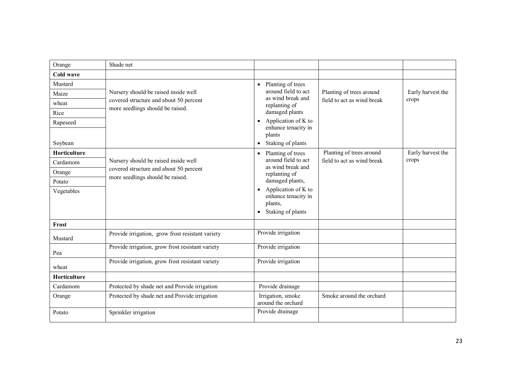| Orange              | Shade net                                                                  |                                                                                                      |                            |                   |
|---------------------|----------------------------------------------------------------------------|------------------------------------------------------------------------------------------------------|----------------------------|-------------------|
| Cold wave           |                                                                            |                                                                                                      |                            |                   |
| Mustard             |                                                                            | Planting of trees<br>$\bullet$                                                                       |                            |                   |
| Maize               | Nursery should be raised inside well                                       | around field to act<br>as wind break and                                                             | Planting of trees around   | Early harvest the |
| wheat               | covered structure and about 50 percent<br>more seedlings should be raised. | replanting of                                                                                        | field to act as wind break | crops             |
| Rice                |                                                                            | damaged plants                                                                                       |                            |                   |
| Rapeseed            |                                                                            | Application of K to<br>$\bullet$<br>enhance tenacity in<br>plants                                    |                            |                   |
| Soybean             |                                                                            | Staking of plants<br>$\bullet$                                                                       |                            |                   |
| <b>Horticulture</b> |                                                                            | Planting of trees<br>$\bullet$                                                                       | Planting of trees around   | Early harvest the |
| Cardamom            | Nursery should be raised inside well                                       | around field to act<br>as wind break and                                                             | field to act as wind break | crops             |
| Orange              | covered structure and about 50 percent                                     | replanting of                                                                                        |                            |                   |
| Potato              | more seedlings should be raised.                                           | damaged plants,                                                                                      |                            |                   |
| Vegetables          |                                                                            | Application of K to<br>$\bullet$<br>enhance tenacity in<br>plants,<br>Staking of plants<br>$\bullet$ |                            |                   |
| Frost               |                                                                            |                                                                                                      |                            |                   |
| Mustard             | Provide irrigation, grow frost resistant variety                           | Provide irrigation                                                                                   |                            |                   |
| Pea                 | Provide irrigation, grow frost resistant variety                           | Provide irrigation                                                                                   |                            |                   |
| wheat               | Provide irrigation, grow frost resistant variety                           | Provide irrigation                                                                                   |                            |                   |
| Horticulture        |                                                                            |                                                                                                      |                            |                   |
| Cardamom            | Protected by shade net and Provide irrigation                              | Provide drainage                                                                                     |                            |                   |
| Orange              | Protected by shade net and Provide irrigation                              | Irrigation, smoke<br>around the orchard                                                              | Smoke around the orchard   |                   |
| Potato              | Sprinkler irrigation                                                       | Provide drainage                                                                                     |                            |                   |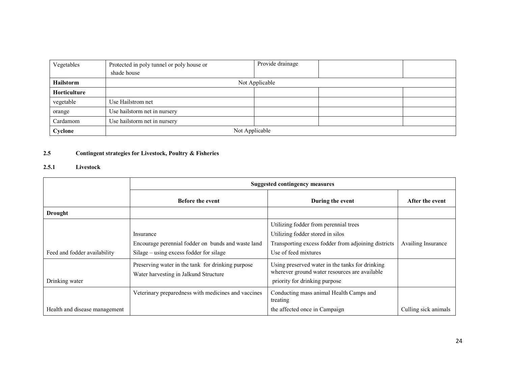| Vegetables          | Protected in poly tunnel or poly house or | Provide drainage |  |  |
|---------------------|-------------------------------------------|------------------|--|--|
|                     | shade house                               |                  |  |  |
| <b>Hailstorm</b>    | Not Applicable                            |                  |  |  |
| <b>Horticulture</b> |                                           |                  |  |  |
| vegetable           | Use Hailstrom net                         |                  |  |  |
| orange              | Use hailstorm net in nursery              |                  |  |  |
| Cardamom            | Use hailstorm net in nursery              |                  |  |  |
| Cyclone             | Not Applicable                            |                  |  |  |

#### 2.5Contingent strategies for Livestock, Poultry & Fisheries

#### 2.5.1 Livestock

|                               | <b>Suggested contingency measures</b>               |                                                                                                  |                      |  |
|-------------------------------|-----------------------------------------------------|--------------------------------------------------------------------------------------------------|----------------------|--|
|                               | <b>Before the event</b>                             | During the event                                                                                 | After the event      |  |
| <b>Drought</b>                |                                                     |                                                                                                  |                      |  |
|                               |                                                     | Utilizing fodder from perennial trees                                                            |                      |  |
|                               | Insurance                                           | Utilizing fodder stored in silos                                                                 |                      |  |
|                               | Encourage perennial fodder on bunds and waste land  | Transporting excess fodder from adjoining districts                                              | Availing Insurance   |  |
| Feed and fodder availability  | Silage – using excess fodder for silage             | Use of feed mixtures                                                                             |                      |  |
|                               | Preserving water in the tank for drinking purpose   | Using preserved water in the tanks for drinking<br>wherever ground water resources are available |                      |  |
| Drinking water                | Water harvesting in Jalkund Structure               | priority for drinking purpose                                                                    |                      |  |
|                               | Veterinary preparedness with medicines and vaccines | Conducting mass animal Health Camps and<br>treating                                              |                      |  |
| Health and disease management |                                                     | the affected once in Campaign                                                                    | Culling sick animals |  |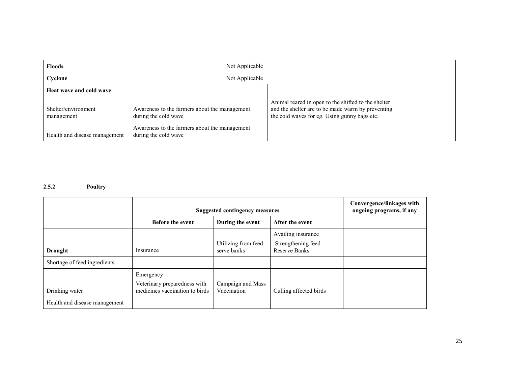| <b>Floods</b>                     | Not Applicable                                                        |                                                                                                                                                          |  |  |
|-----------------------------------|-----------------------------------------------------------------------|----------------------------------------------------------------------------------------------------------------------------------------------------------|--|--|
| Cyclone                           | Not Applicable                                                        |                                                                                                                                                          |  |  |
| Heat wave and cold wave           |                                                                       |                                                                                                                                                          |  |  |
| Shelter/environment<br>management | Awareness to the farmers about the management<br>during the cold wave | Animal reared in open to the shifted to the shelter<br>and the shelter are to be made warm by preventing<br>the cold waves for eg. Using gunny bags etc. |  |  |
| Health and disease management     | Awareness to the farmers about the management<br>during the cold wave |                                                                                                                                                          |  |  |

# 2.5.2 Poultry

|                               | <b>Suggested contingency measures</b> |                                    |                                            | Convergence/linkages with<br>ongoing programs, if any |
|-------------------------------|---------------------------------------|------------------------------------|--------------------------------------------|-------------------------------------------------------|
|                               | <b>Before the event</b>               | During the event                   | After the event                            |                                                       |
|                               |                                       |                                    | Availing insurance                         |                                                       |
| <b>Drought</b>                | Insurance                             | Utilizing from feed<br>serve banks | Strengthening feed<br><b>Reserve Banks</b> |                                                       |
|                               |                                       |                                    |                                            |                                                       |
| Shortage of feed ingredients  |                                       |                                    |                                            |                                                       |
|                               | Emergency                             |                                    |                                            |                                                       |
|                               | Veterinary preparedness with          | Campaign and Mass                  |                                            |                                                       |
| Drinking water                | medicines vaccination to birds        | Vaccination                        | Culling affected birds                     |                                                       |
| Health and disease management |                                       |                                    |                                            |                                                       |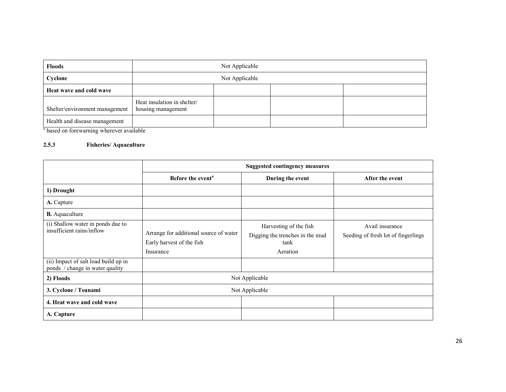| <b>Floods</b>                  | Not Applicable                                    |  |  |  |
|--------------------------------|---------------------------------------------------|--|--|--|
| Cyclone                        | Not Applicable                                    |  |  |  |
| Heat wave and cold wave        |                                                   |  |  |  |
| Shelter/environment management | Heat insulation in shelter/<br>housing management |  |  |  |
| Health and disease management  |                                                   |  |  |  |

<sup>a</sup> based on forewarning wherever available

# 2.5.3 Fisheries/ Aquaculture

|                                                                                                        | <b>Suggested contingency measures</b>                                            |                                                                               |                                                        |  |
|--------------------------------------------------------------------------------------------------------|----------------------------------------------------------------------------------|-------------------------------------------------------------------------------|--------------------------------------------------------|--|
|                                                                                                        | Before the event <sup>a</sup>                                                    | During the event                                                              | After the event                                        |  |
| 1) Drought                                                                                             |                                                                                  |                                                                               |                                                        |  |
| A. Capture                                                                                             |                                                                                  |                                                                               |                                                        |  |
| <b>B.</b> Aquaculture                                                                                  |                                                                                  |                                                                               |                                                        |  |
| (i) Shallow water in ponds due to<br>insufficient rains/inflow<br>(ii) Impact of salt load build up in | Arrange for additional source of water<br>Early harvest of the fish<br>Insurance | Harvesting of the fish<br>Digging the trenches in the mud<br>tank<br>Aeration | Avail insurance<br>Seeding of fresh lot of fingerlings |  |
| ponds / change in water quality                                                                        |                                                                                  |                                                                               |                                                        |  |
| 2) Floods                                                                                              | Not Applicable                                                                   |                                                                               |                                                        |  |
| 3. Cyclone / Tsunami                                                                                   | Not Applicable                                                                   |                                                                               |                                                        |  |
| 4. Heat wave and cold wave                                                                             |                                                                                  |                                                                               |                                                        |  |
| A. Capture                                                                                             |                                                                                  |                                                                               |                                                        |  |